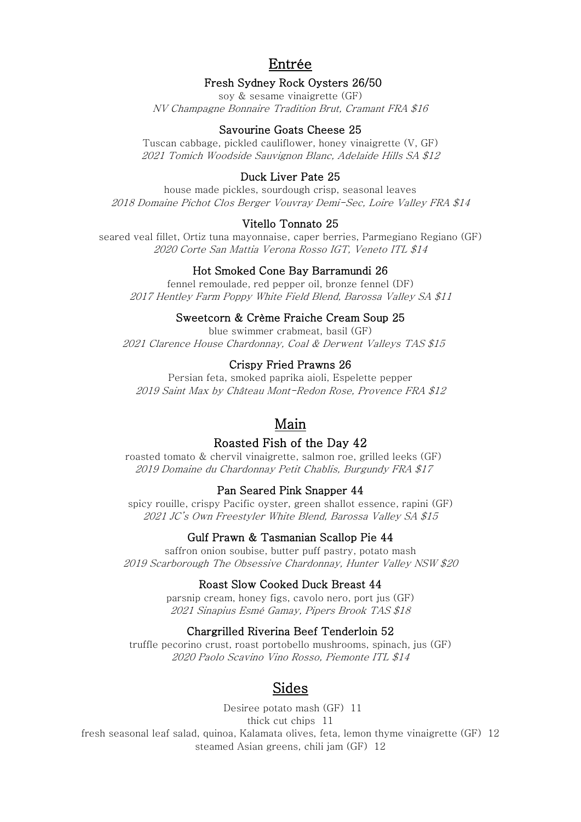# Entrée

## Fresh Sydney Rock Oysters 26/50

soy & sesame vinaigrette (GF) NV Champagne Bonnaire Tradition Brut, Cramant FRA \$16

### Savourine Goats Cheese 25

Tuscan cabbage, pickled cauliflower, honey vinaigrette (V, GF) 2021 Tomich Woodside Sauvignon Blanc, Adelaide Hills SA \$12

# Duck Liver Pate 25

house made pickles, sourdough crisp, seasonal leaves 2018 Domaine Pichot Clos Berger Vouvray Demi-Sec, Loire Valley FRA \$14

### Vitello Tonnato 25

seared veal fillet, Ortiz tuna mayonnaise, caper berries, Parmegiano Regiano (GF) 2020 Corte San Mattia Verona Rosso IGT, Veneto ITL \$14

### Hot Smoked Cone Bay Barramundi 26

fennel remoulade, red pepper oil, bronze fennel (DF) 2017 Hentley Farm Poppy White Field Blend, Barossa Valley SA \$11

## Sweetcorn & Crème Fraiche Cream Soup 25

blue swimmer crabmeat, basil (GF) 2021 Clarence House Chardonnay, Coal & Derwent Valleys TAS \$15

### Crispy Fried Prawns 26

Persian feta, smoked paprika aioli, Espelette pepper 2019 Saint Max by Château Mont-Redon Rose, Provence FRA \$12

# Main

# Roasted Fish of the Day 42

roasted tomato & chervil vinaigrette, salmon roe, grilled leeks (GF) 2019 Domaine du Chardonnay Petit Chablis, Burgundy FRA \$17

### Pan Seared Pink Snapper 44

spicy rouille, crispy Pacific oyster, green shallot essence, rapini (GF) 2021 JC's Own Freestyler White Blend, Barossa Valley SA \$15

### Gulf Prawn & Tasmanian Scallop Pie 44

saffron onion soubise, butter puff pastry, potato mash 2019 Scarborough The Obsessive Chardonnay, Hunter Valley NSW \$20

### Roast Slow Cooked Duck Breast 44

parsnip cream, honey figs, cavolo nero, port jus (GF) 2021 Sinapius Esmé Gamay, Pipers Brook TAS \$18

## Chargrilled Riverina Beef Tenderloin 52

truffle pecorino crust, roast portobello mushrooms, spinach, jus (GF) 2020 Paolo Scavino Vino Rosso, Piemonte ITL \$14

# Sides

Desiree potato mash (GF) 11 thick cut chips 11 fresh seasonal leaf salad, quinoa, Kalamata olives, feta, lemon thyme vinaigrette (GF) 12 steamed Asian greens, chili jam (GF) 12